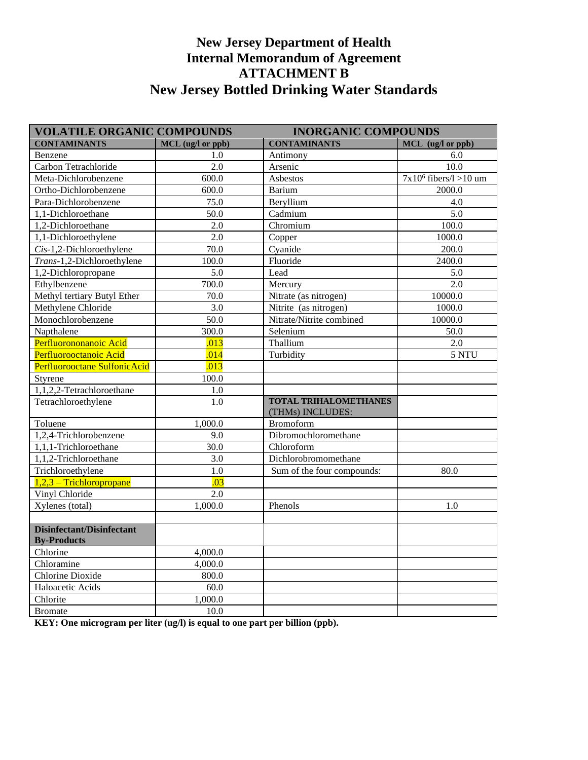## **New Jersey Department of Health Internal Memorandum of Agreement ATTACHMENT B New Jersey Bottled Drinking Water Standards**

| <b>VOLATILE ORGANIC COMPOUNDS</b>               |                   | <b>INORGANIC COMPOUNDS</b>                       |                          |
|-------------------------------------------------|-------------------|--------------------------------------------------|--------------------------|
| <b>CONTAMINANTS</b>                             | MCL (ug/l or ppb) | <b>CONTAMINANTS</b>                              | MCL (ug/l or ppb)        |
| Benzene                                         | 1.0               | Antimony                                         | 6.0                      |
| Carbon Tetrachloride                            | $\overline{2.0}$  | Arsenic                                          | $\overline{10.0}$        |
| Meta-Dichlorobenzene                            | 600.0             | Asbestos                                         | $7x10^6$ fibers/l >10 um |
| Ortho-Dichlorobenzene                           | 600.0             | Barium                                           | 2000.0                   |
| Para-Dichlorobenzene                            | 75.0              | Beryllium                                        | 4.0                      |
| 1,1-Dichloroethane                              | 50.0              | Cadmium                                          | 5.0                      |
| 1,2-Dichloroethane                              | 2.0               | Chromium                                         | 100.0                    |
| 1,1-Dichloroethylene                            | 2.0               | Copper                                           | 1000.0                   |
| Cis-1,2-Dichloroethylene                        | $\overline{70.0}$ | Cyanide                                          | 200.0                    |
| Trans-1,2-Dichloroethylene                      | 100.0             | Fluoride                                         | 2400.0                   |
| 1,2-Dichloropropane                             | 5.0               | Lead                                             | 5.0                      |
| Ethylbenzene                                    | 700.0             | Mercury                                          | 2.0                      |
| Methyl tertiary Butyl Ether                     | 70.0              | Nitrate (as nitrogen)                            | 10000.0                  |
| Methylene Chloride                              | $\overline{3.0}$  | Nitrite (as nitrogen)                            | 1000.0                   |
| Monochlorobenzene                               | 50.0              | Nitrate/Nitrite combined                         | 10000.0                  |
| Napthalene                                      | 300.0             | Selenium                                         | 50.0                     |
| Perfluorononanoic Acid                          | .013              | Thallium                                         | 2.0                      |
| Perfluorooctanoic Acid                          | .014              | Turbidity                                        | 5 NTU                    |
| Perfluorooctane SulfonicAcid                    | .013              |                                                  |                          |
| Styrene                                         | 100.0             |                                                  |                          |
| 1,1,2,2-Tetrachloroethane                       | 1.0               |                                                  |                          |
| Tetrachloroethylene                             | 1.0               | <b>TOTAL TRIHALOMETHANES</b><br>(THMs) INCLUDES: |                          |
| Toluene                                         | 1,000.0           | <b>Bromoform</b>                                 |                          |
| $1,2,4$ -Trichlorobenzene                       | 9.0               | Dibromochloromethane                             |                          |
| 1,1,1-Trichloroethane                           | 30.0              | Chloroform                                       |                          |
| 1,1,2-Trichloroethane                           | 3.0               | Dichlorobromomethane                             |                          |
| Trichloroethylene                               | 1.0               | Sum of the four compounds:                       | 80.0                     |
| $1,2,3$ – Trichloropropane                      | .03               |                                                  |                          |
| Vinyl Chloride                                  | 2.0               |                                                  |                          |
| Xylenes (total)                                 | 1,000.0           | Phenols                                          | 1.0                      |
|                                                 |                   |                                                  |                          |
| Disinfectant/Disinfectant<br><b>By-Products</b> |                   |                                                  |                          |
| Chlorine                                        | 4,000.0           |                                                  |                          |
| Chloramine                                      | 4,000.0           |                                                  |                          |
| <b>Chlorine Dioxide</b>                         | 800.0             |                                                  |                          |
| Haloacetic Acids                                | 60.0              |                                                  |                          |
| Chlorite                                        | 1,000.0           |                                                  |                          |
| <b>Bromate</b>                                  | 10.0              |                                                  |                          |

**KEY: One microgram per liter (ug/l) is equal to one part per billion (ppb).**